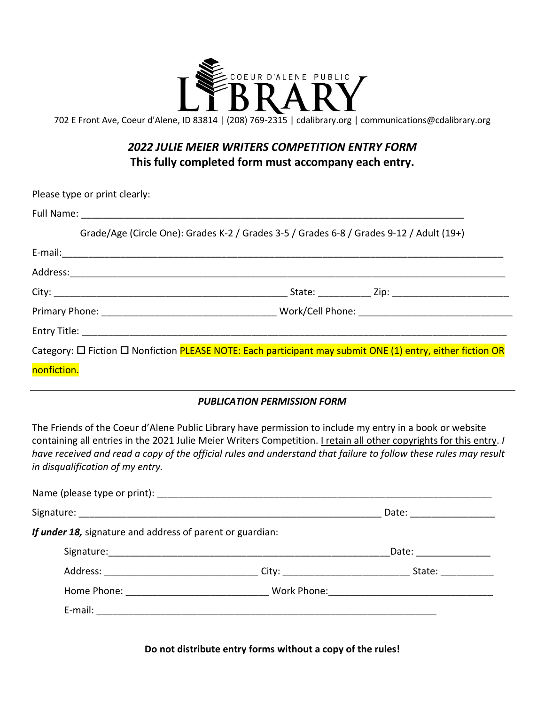

702 E Front Ave, Coeur d'Alene, ID 83814 | (208) 769-2315 | cdalibrary.org | communications@cdalibrary.org

# *2022 JULIE MEIER WRITERS COMPETITION ENTRY FORM* **This fully completed form must accompany each entry.**

|             | Please type or print clearly:                                                                                        |
|-------------|----------------------------------------------------------------------------------------------------------------------|
|             |                                                                                                                      |
|             | Grade/Age (Circle One): Grades K-2 / Grades 3-5 / Grades 6-8 / Grades 9-12 / Adult (19+)                             |
|             |                                                                                                                      |
|             |                                                                                                                      |
|             |                                                                                                                      |
|             |                                                                                                                      |
|             |                                                                                                                      |
|             | Category: $\Box$ Fiction $\Box$ Nonfiction PLEASE NOTE: Each participant may submit ONE (1) entry, either fiction OR |
| nonfiction. |                                                                                                                      |

#### *PUBLICATION PERMISSION FORM*

The Friends of the Coeur d'Alene Public Library have permission to include my entry in a book or website containing all entries in the 2021 Julie Meier Writers Competition. I retain all other copyrights for this entry. *I have received and read a copy of the official rules and understand that failure to follow these rules may result in disqualification of my entry.*

|                                                           | Date: _______________ |                      |
|-----------------------------------------------------------|-----------------------|----------------------|
| If under 18, signature and address of parent or guardian: |                       |                      |
|                                                           |                       | Date: ______________ |
|                                                           |                       |                      |
|                                                           |                       |                      |
|                                                           |                       |                      |

**Do not distribute entry forms without a copy of the rules!**